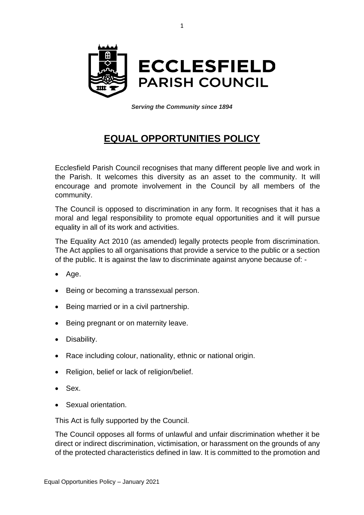

*Serving the Community since 1894*

## **EQUAL OPPORTUNITIES POLICY**

Ecclesfield Parish Council recognises that many different people live and work in the Parish. It welcomes this diversity as an asset to the community. It will encourage and promote involvement in the Council by all members of the community.

The Council is opposed to discrimination in any form. It recognises that it has a moral and legal responsibility to promote equal opportunities and it will pursue equality in all of its work and activities.

The Equality Act 2010 (as amended) legally protects people from discrimination. The Act applies to all organisations that provide a service to the public or a section of the public. It is against the law to discriminate against anyone because of: -

- Age.
- Being or becoming a transsexual person.
- Being married or in a civil partnership.
- Being pregnant or on maternity leave.
- Disability.
- Race including colour, nationality, ethnic or national origin.
- Religion, belief or lack of religion/belief.
- Sex.
- Sexual orientation.

This Act is fully supported by the Council.

The Council opposes all forms of unlawful and unfair discrimination whether it be direct or indirect discrimination, victimisation, or harassment on the grounds of any of the protected characteristics defined in law. It is committed to the promotion and